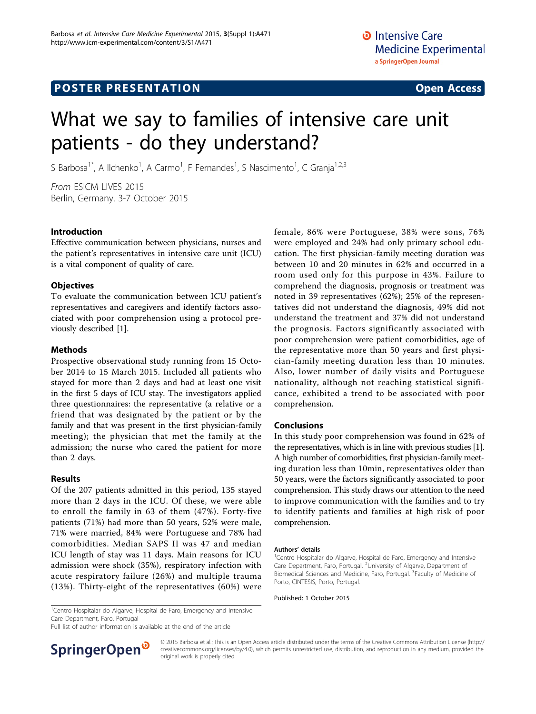# **POSTER PRESENTATION CONSUMING ACCESS**

# What we say to families of intensive care unit patients - do they understand?

S Barbosa<sup>1\*</sup>, A Ilchenko<sup>1</sup>, A Carmo<sup>1</sup>, F Fernandes<sup>1</sup>, S Nascimento<sup>1</sup>, C Granja<sup>1,2,3</sup>

From ESICM LIVES 2015 Berlin, Germany. 3-7 October 2015

## Introduction

Effective communication between physicians, nurses and the patient's representatives in intensive care unit (ICU) is a vital component of quality of care.

## **Objectives**

To evaluate the communication between ICU patient's representatives and caregivers and identify factors associated with poor comprehension using a protocol previously described [[1\]](#page-1-0).

#### Methods

Prospective observational study running from 15 October 2014 to 15 March 2015. Included all patients who stayed for more than 2 days and had at least one visit in the first 5 days of ICU stay. The investigators applied three questionnaires: the representative (a relative or a friend that was designated by the patient or by the family and that was present in the first physician-family meeting); the physician that met the family at the admission; the nurse who cared the patient for more than 2 days.

#### Results

Of the 207 patients admitted in this period, 135 stayed more than 2 days in the ICU. Of these, we were able to enroll the family in 63 of them (47%). Forty-five patients (71%) had more than 50 years, 52% were male, 71% were married, 84% were Portuguese and 78% had comorbidities. Median SAPS II was 47 and median ICU length of stay was 11 days. Main reasons for ICU admission were shock (35%), respiratory infection with acute respiratory failure (26%) and multiple trauma (13%). Thirty-eight of the representatives (60%) were female, 86% were Portuguese, 38% were sons, 76% were employed and 24% had only primary school education. The first physician-family meeting duration was between 10 and 20 minutes in 62% and occurred in a room used only for this purpose in 43%. Failure to comprehend the diagnosis, prognosis or treatment was noted in 39 representatives (62%); 25% of the representatives did not understand the diagnosis, 49% did not understand the treatment and 37% did not understand the prognosis. Factors significantly associated with poor comprehension were patient comorbidities, age of the representative more than 50 years and first physician-family meeting duration less than 10 minutes. Also, lower number of daily visits and Portuguese nationality, although not reaching statistical significance, exhibited a trend to be associated with poor comprehension.

## Conclusions

In this study poor comprehension was found in 62% of the representatives, which is in line with previous studies [[1](#page-1-0)]. A high number of comorbidities, first physician-family meeting duration less than 10min, representatives older than 50 years, were the factors significantly associated to poor comprehension. This study draws our attention to the need to improve communication with the families and to try to identify patients and families at high risk of poor comprehension.

#### Authors' details <sup>1</sup>

Centro Hospitalar do Algarve, Hospital de Faro, Emergency and Intensive Care Department, Faro, Portugal. <sup>2</sup>University of Algarve, Department of Biomedical Sciences and Medicine, Faro, Portugal. <sup>3</sup> Faculty of Medicine of Porto, CINTESIS, Porto, Portugal.

Published: 1 October 2015

<sup>1</sup>Centro Hospitalar do Algarve, Hospital de Faro, Emergency and Intensive Care Department, Faro, Portugal

Full list of author information is available at the end of the article



© 2015 Barbosa et al.; This is an Open Access article distributed under the terms of the Creative Commons Attribution License [\(http://](http://creativecommons.org/licenses/by/4.0) [creativecommons.org/licenses/by/4.0](http://creativecommons.org/licenses/by/4.0)), which permits unrestricted use, distribution, and reproduction in any medium, provided the original work is properly cited.